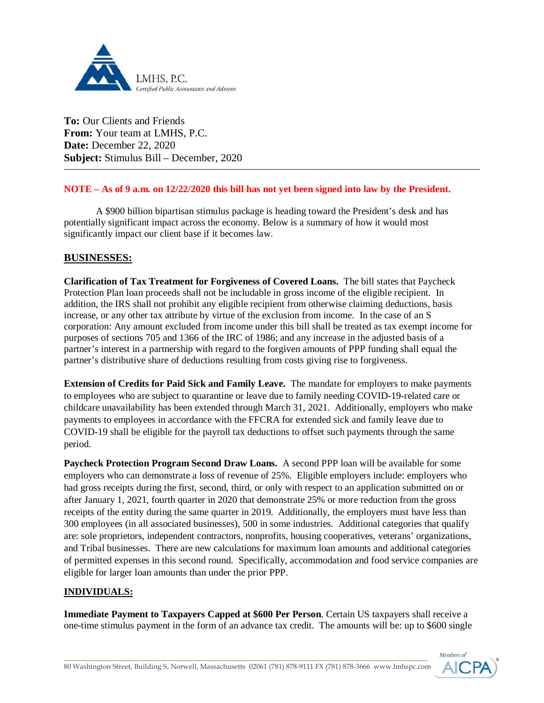

**To:** Our Clients and Friends **From:** Your team at LMHS, P.C. **Date:** December 22, 2020 **Subject:** Stimulus Bill – December, 2020

## **NOTE – As of 9 a.m. on 12/22/2020 this bill has not yet been signed into law by the President.**

A \$900 billion bipartisan stimulus package is heading toward the President's desk and has potentially significant impact across the economy. Below is a summary of how it would most significantly impact our client base if it becomes law.

## **BUSINESSES:**

**Clarification of Tax Treatment for Forgiveness of Covered Loans.** The bill states that Paycheck Protection Plan loan proceeds shall not be includable in gross income of the eligible recipient. In addition, the IRS shall not prohibit any eligible recipient from otherwise claiming deductions, basis increase, or any other tax attribute by virtue of the exclusion from income. In the case of an S corporation: Any amount excluded from income under this bill shall be treated as tax exempt income for purposes of sections 705 and 1366 of the IRC of 1986; and any increase in the adjusted basis of a partner's interest in a partnership with regard to the forgiven amounts of PPP funding shall equal the partner's distributive share of deductions resulting from costs giving rise to forgiveness.

**Extension of Credits for Paid Sick and Family Leave.** The mandate for employers to make payments to employees who are subject to quarantine or leave due to family needing COVID-19-related care or childcare unavailability has been extended through March 31, 2021. Additionally, employers who make payments to employees in accordance with the FFCRA for extended sick and family leave due to COVID-19 shall be eligible for the payroll tax deductions to offset such payments through the same period.

**Paycheck Protection Program Second Draw Loans.** A second PPP loan will be available for some employers who can demonstrate a loss of revenue of 25%. Eligible employers include: employers who had gross receipts during the first, second, third, or only with respect to an application submitted on or after January 1, 2021, fourth quarter in 2020 that demonstrate 25% or more reduction from the gross receipts of the entity during the same quarter in 2019. Additionally, the employers must have less than 300 employees (in all associated businesses), 500 in some industries. Additional categories that qualify are: sole proprietors, independent contractors, nonprofits, housing cooperatives, veterans' organizations, and Tribal businesses. There are new calculations for maximum loan amounts and additional categories of permitted expenses in this second round. Specifically, accommodation and food service companies are eligible for larger loan amounts than under the prior PPP.

## **INDIVIDUALS:**

**Immediate Payment to Taxpayers Capped at \$600 Per Person**. Certain US taxpayers shall receive a one-time stimulus payment in the form of an advance tax credit. The amounts will be: up to \$600 single